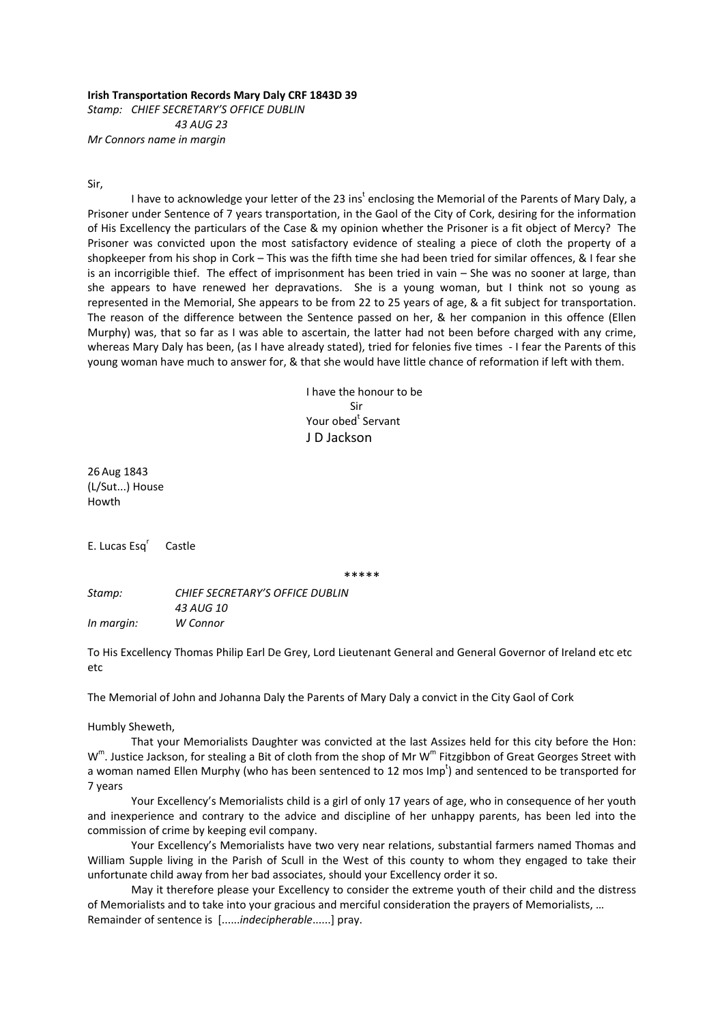**Irish Transportation Records Mary Daly CRF 1843D 39** *Stamp: CHIEF SECRETARY'S OFFICE DUBLIN*

 *43 AUG 23 Mr Connors name in margin*

Sir,

I have to acknowledge your letter of the 23 ins<sup>t</sup> enclosing the Memorial of the Parents of Mary Daly, a Prisoner under Sentence of 7 years transportation, in the Gaol of the City of Cork, desiring for the information of His Excellency the particulars of the Case & my opinion whether the Prisoner is a fit object of Mercy? The Prisoner was convicted upon the most satisfactory evidence of stealing a piece of cloth the property of a shopkeeper from his shop in Cork – This was the fifth time she had been tried for similar offences, & I fear she is an incorrigible thief. The effect of imprisonment has been tried in vain – She was no sooner at large, than she appears to have renewed her depravations. She is a young woman, but I think not so young as represented in the Memorial, She appears to be from 22 to 25 years of age, & a fit subject for transportation. The reason of the difference between the Sentence passed on her, & her companion in this offence (Ellen Murphy) was, that so far as I was able to ascertain, the latter had not been before charged with any crime, whereas Mary Daly has been, (as I have already stated), tried for felonies five times ‐ I fear the Parents of this young woman have much to answer for, & that she would have little chance of reformation if left with them.

 I have the honour to be Sir **Example 26 Your obed<sup>t</sup> Servant** J D Jackson

26 Aug 1843 (L/Sut...) House Howth

E. Lucas Esq<sup>r</sup> Castle

\*\*\*\*\*

*Stamp: CHIEF SECRETARY'S OFFICE DUBLIN 43 AUG 10 In margin: W Connor*

To His Excellency Thomas Philip Earl De Grey, Lord Lieutenant General and General Governor of Ireland etc etc etc

The Memorial of John and Johanna Daly the Parents of Mary Daly a convict in the City Gaol of Cork

Humbly Sheweth,

That your Memorialists Daughter was convicted at the last Assizes held for this city before the Hon:  $W^m$ . Justice Jackson, for stealing a Bit of cloth from the shop of Mr W<sup>m</sup> Fitzgibbon of Great Georges Street with a woman named Ellen Murphy (who has been sentenced to 12 mos Imp<sup>t</sup>) and sentenced to be transported for 7 years

Your Excellency's Memorialists child is a girl of only 17 years of age, who in consequence of her youth and inexperience and contrary to the advice and discipline of her unhappy parents, has been led into the commission of crime by keeping evil company.

Your Excellency's Memorialists have two very near relations, substantial farmers named Thomas and William Supple living in the Parish of Scull in the West of this county to whom they engaged to take their unfortunate child away from her bad associates, should your Excellency order it so.

May it therefore please your Excellency to consider the extreme youth of their child and the distress of Memorialists and to take into your gracious and merciful consideration the prayers of Memorialists, … Remainder of sentence is [......*indecipherable*......] pray.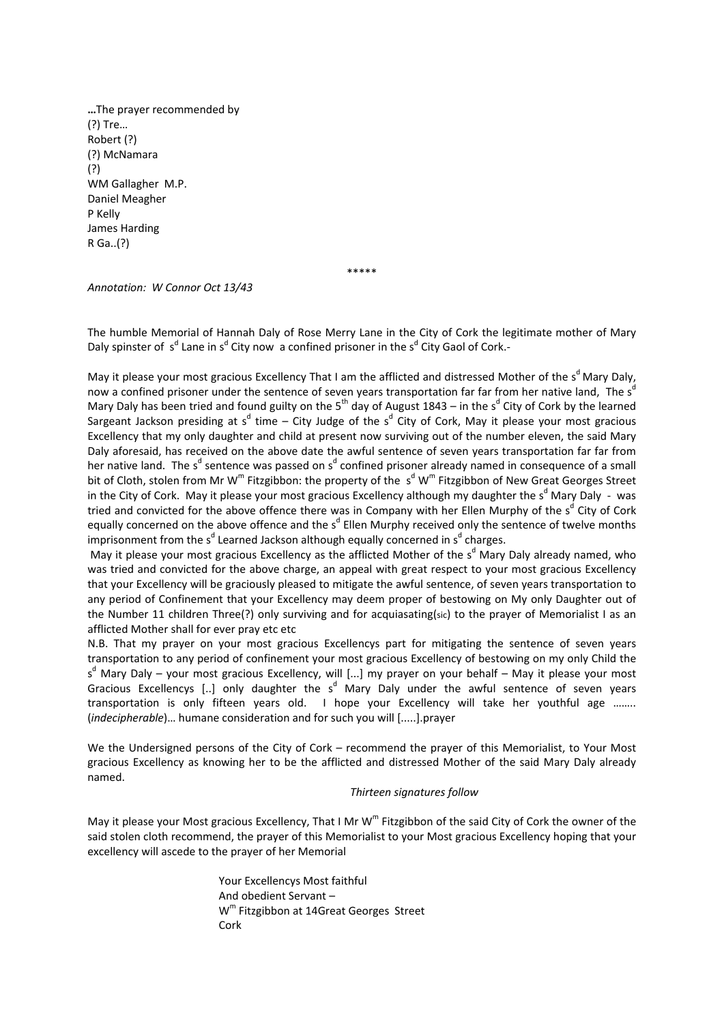**…**The prayer recommended by (?) Tre… Robert (?) (?) McNamara (?) WM Gallagher M.P. Daniel Meagher P Kelly James Harding R Ga..(?)

\*\*\*\*\*

*Annotation: W Connor Oct 13/43*

The humble Memorial of Hannah Daly of Rose Merry Lane in the City of Cork the legitimate mother of Mary Daly spinster of s<sup>d</sup> Lane in s<sup>d</sup> City now a confined prisoner in the s<sup>d</sup> City Gaol of Cork.-

May it please your most gracious Excellency That I am the afflicted and distressed Mother of the s<sup>d</sup> Mary Daly, now a confined prisoner under the sentence of seven years transportation far far from her native land, The s<sup>d</sup> Mary Daly has been tried and found guilty on the 5<sup>th</sup> day of August 1843 – in the s<sup>d</sup> City of Cork by the learned Sargeant Jackson presiding at s<sup>d</sup> time – City Judge of the s<sup>d</sup> City of Cork, May it please your most gracious Excellency that my only daughter and child at present now surviving out of the number eleven, the said Mary Daly aforesaid, has received on the above date the awful sentence of seven years transportation far far from her native land. The s<sup>d</sup> sentence was passed on s<sup>d</sup> confined prisoner already named in consequence of a small bit of Cloth, stolen from Mr W<sup>m</sup> Fitzgibbon: the property of the  $s^d$  W<sup>m</sup> Fitzgibbon of New Great Georges Street in the City of Cork. May it please your most gracious Excellency although my daughter the s<sup>d</sup> Mary Daly - was tried and convicted for the above offence there was in Company with her Ellen Murphy of the s<sup>d</sup> City of Cork equally concerned on the above offence and the s<sup>d</sup> Ellen Murphy received only the sentence of twelve months imprisonment from the s<sup>d</sup> Learned Jackson although equally concerned in s<sup>d</sup> charges.

May it please your most gracious Excellency as the afflicted Mother of the s<sup>d</sup> Mary Daly already named, who was tried and convicted for the above charge, an appeal with great respect to your most gracious Excellency that your Excellency will be graciously pleased to mitigate the awful sentence, of seven years transportation to any period of Confinement that your Excellency may deem proper of bestowing on My only Daughter out of the Number 11 children Three(?) only surviving and for acquiasating(sic) to the prayer of Memorialist I as an afflicted Mother shall for ever pray etc etc

N.B. That my prayer on your most gracious Excellencys part for mitigating the sentence of seven years transportation to any period of confinement your most gracious Excellency of bestowing on my only Child the s<sup>d</sup> Mary Daly – your most gracious Excellency, will [...] my prayer on your behalf – May it please your most Gracious Excellencys [..] only daughter the s<sup>d</sup> Mary Daly under the awful sentence of seven years transportation is only fifteen years old. I hope your Excellency will take her youthful age ........ (*indecipherable*)… humane consideration and for such you will [.....].prayer

We the Undersigned persons of the City of Cork – recommend the prayer of this Memorialist, to Your Most gracious Excellency as knowing her to be the afflicted and distressed Mother of the said Mary Daly already named.

## *Thirteen signatures follow*

May it please your Most gracious Excellency, That I Mr W<sup>m</sup> Fitzgibbon of the said City of Cork the owner of the said stolen cloth recommend, the prayer of this Memorialist to your Most gracious Excellency hoping that your excellency will ascede to the prayer of her Memorial

> Your Excellencys Most faithful And obedient Servant – W<sup>m</sup> Fitzgibbon at 14Great Georges Street Cork